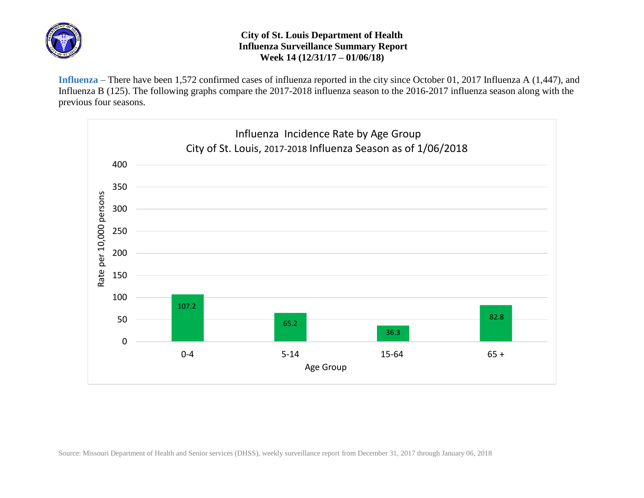

## **City of St. Louis Department of Health Influenza Surveillance Summary Report Week 14 (12/31/17 – 01/06/18)**

**Influenza** – There have been 1,572 confirmed cases of influenza reported in the city since October 01, 2017 Influenza A (1,447), and Influenza B (125). The following graphs compare the 2017-2018 influenza season to the 2016-2017 influenza season along with the previous four seasons.